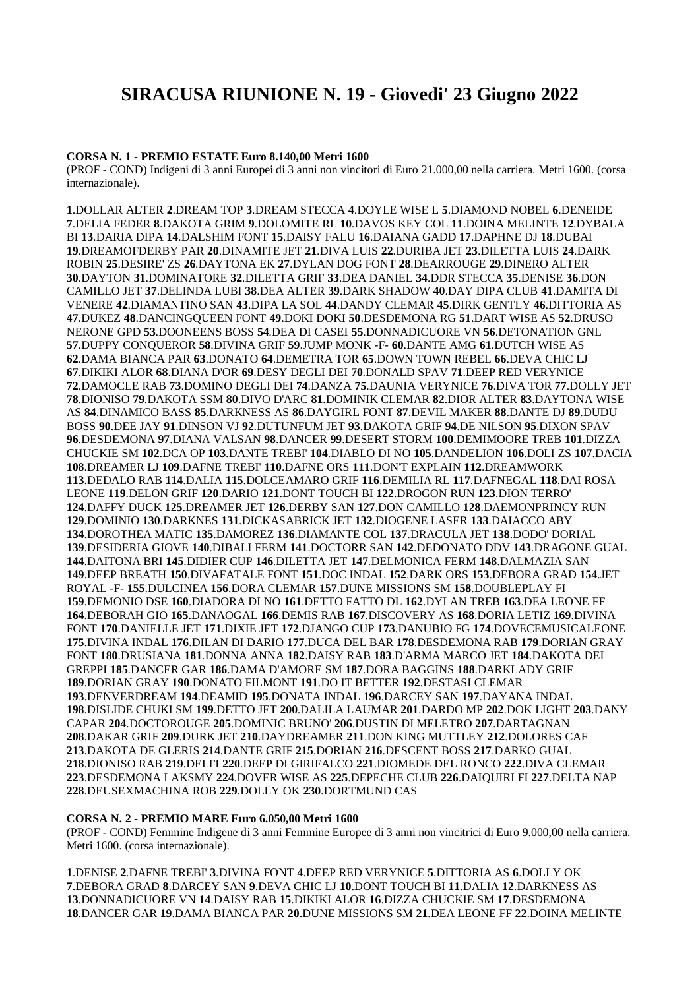# **SIRACUSA RIUNIONE N. 19 - Giovedi' 23 Giugno 2022**

#### **CORSA N. 1 - PREMIO ESTATE Euro 8.140,00 Metri 1600**

(PROF - COND) Indigeni di 3 anni Europei di 3 anni non vincitori di Euro 21.000,00 nella carriera. Metri 1600. (corsa internazionale).

.DOLLAR ALTER **2**.DREAM TOP **3**.DREAM STECCA **4**.DOYLE WISE L **5**.DIAMOND NOBEL **6**.DENEIDE .DELIA FEDER **8**.DAKOTA GRIM **9**.DOLOMITE RL **10**.DAVOS KEY COL **11**.DOINA MELINTE **12**.DYBALA BI **13**.DARIA DIPA **14**.DALSHIM FONT **15**.DAISY FALU **16**.DAIANA GADD **17**.DAPHNE DJ **18**.DUBAI .DREAMOFDERBY PAR **20**.DINAMITE JET **21**.DIVA LUIS **22**.DURIBA JET **23**.DILETTA LUIS **24**.DARK ROBIN **25**.DESIRE' ZS **26**.DAYTONA EK **27**.DYLAN DOG FONT **28**.DEARROUGE **29**.DINERO ALTER .DAYTON **31**.DOMINATORE **32**.DILETTA GRIF **33**.DEA DANIEL **34**.DDR STECCA **35**.DENISE **36**.DON CAMILLO JET **37**.DELINDA LUBI **38**.DEA ALTER **39**.DARK SHADOW **40**.DAY DIPA CLUB **41**.DAMITA DI VENERE **42**.DIAMANTINO SAN **43**.DIPA LA SOL **44**.DANDY CLEMAR **45**.DIRK GENTLY **46**.DITTORIA AS .DUKEZ **48**.DANCINGQUEEN FONT **49**.DOKI DOKI **50**.DESDEMONA RG **51**.DART WISE AS **52**.DRUSO NERONE GPD **53**.DOONEENS BOSS **54**.DEA DI CASEI **55**.DONNADICUORE VN **56**.DETONATION GNL .DUPPY CONQUEROR **58**.DIVINA GRIF **59**.JUMP MONK -F- **60**.DANTE AMG **61**.DUTCH WISE AS .DAMA BIANCA PAR **63**.DONATO **64**.DEMETRA TOR **65**.DOWN TOWN REBEL **66**.DEVA CHIC LJ .DIKIKI ALOR **68**.DIANA D'OR **69**.DESY DEGLI DEI **70**.DONALD SPAV **71**.DEEP RED VERYNICE .DAMOCLE RAB **73**.DOMINO DEGLI DEI **74**.DANZA **75**.DAUNIA VERYNICE **76**.DIVA TOR **77**.DOLLY JET .DIONISO **79**.DAKOTA SSM **80**.DIVO D'ARC **81**.DOMINIK CLEMAR **82**.DIOR ALTER **83**.DAYTONA WISE AS **84**.DINAMICO BASS **85**.DARKNESS AS **86**.DAYGIRL FONT **87**.DEVIL MAKER **88**.DANTE DJ **89**.DUDU BOSS **90**.DEE JAY **91**.DINSON VJ **92**.DUTUNFUM JET **93**.DAKOTA GRIF **94**.DE NILSON **95**.DIXON SPAV .DESDEMONA **97**.DIANA VALSAN **98**.DANCER **99**.DESERT STORM **100**.DEMIMOORE TREB **101**.DIZZA CHUCKIE SM **102**.DCA OP **103**.DANTE TREBI' **104**.DIABLO DI NO **105**.DANDELION **106**.DOLI ZS **107**.DACIA .DREAMER LJ **109**.DAFNE TREBI' **110**.DAFNE ORS **111**.DON'T EXPLAIN **112**.DREAMWORK .DEDALO RAB **114**.DALIA **115**.DOLCEAMARO GRIF **116**.DEMILIA RL **117**.DAFNEGAL **118**.DAI ROSA LEONE **119**.DELON GRIF **120**.DARIO **121**.DONT TOUCH BI **122**.DROGON RUN **123**.DION TERRO' .DAFFY DUCK **125**.DREAMER JET **126**.DERBY SAN **127**.DON CAMILLO **128**.DAEMONPRINCY RUN .DOMINIO **130**.DARKNES **131**.DICKASABRICK JET **132**.DIOGENE LASER **133**.DAIACCO ABY .DOROTHEA MATIC **135**.DAMOREZ **136**.DIAMANTE COL **137**.DRACULA JET **138**.DODO' DORIAL .DESIDERIA GIOVE **140**.DIBALI FERM **141**.DOCTORR SAN **142**.DEDONATO DDV **143**.DRAGONE GUAL .DAITONA BRI **145**.DIDIER CUP **146**.DILETTA JET **147**.DELMONICA FERM **148**.DALMAZIA SAN .DEEP BREATH **150**.DIVAFATALE FONT **151**.DOC INDAL **152**.DARK ORS **153**.DEBORA GRAD **154**.JET ROYAL -F- **155**.DULCINEA **156**.DORA CLEMAR **157**.DUNE MISSIONS SM **158**.DOUBLEPLAY FI .DEMONIO DSE **160**.DIADORA DI NO **161**.DETTO FATTO DL **162**.DYLAN TREB **163**.DEA LEONE FF .DEBORAH GIO **165**.DANAOGAL **166**.DEMIS RAB **167**.DISCOVERY AS **168**.DORIA LETIZ **169**.DIVINA FONT **170**.DANIELLE JET **171**.DIXIE JET **172**.DJANGO CUP **173**.DANUBIO FG **174**.DOVECEMUSICALEONE .DIVINA INDAL **176**.DILAN DI DARIO **177**.DUCA DEL BAR **178**.DESDEMONA RAB **179**.DORIAN GRAY FONT **180**.DRUSIANA **181**.DONNA ANNA **182**.DAISY RAB **183**.D'ARMA MARCO JET **184**.DAKOTA DEI GREPPI **185**.DANCER GAR **186**.DAMA D'AMORE SM **187**.DORA BAGGINS **188**.DARKLADY GRIF .DORIAN GRAY **190**.DONATO FILMONT **191**.DO IT BETTER **192**.DESTASI CLEMAR .DENVERDREAM **194**.DEAMID **195**.DONATA INDAL **196**.DARCEY SAN **197**.DAYANA INDAL .DISLIDE CHUKI SM **199**.DETTO JET **200**.DALILA LAUMAR **201**.DARDO MP **202**.DOK LIGHT **203**.DANY CAPAR **204**.DOCTOROUGE **205**.DOMINIC BRUNO' **206**.DUSTIN DI MELETRO **207**.DARTAGNAN .DAKAR GRIF **209**.DURK JET **210**.DAYDREAMER **211**.DON KING MUTTLEY **212**.DOLORES CAF .DAKOTA DE GLERIS **214**.DANTE GRIF **215**.DORIAN **216**.DESCENT BOSS **217**.DARKO GUAL .DIONISO RAB **219**.DELFI **220**.DEEP DI GIRIFALCO **221**.DIOMEDE DEL RONCO **222**.DIVA CLEMAR .DESDEMONA LAKSMY **224**.DOVER WISE AS **225**.DEPECHE CLUB **226**.DAIQUIRI FI **227**.DELTA NAP .DEUSEXMACHINA ROB **229**.DOLLY OK **230**.DORTMUND CAS

## **CORSA N. 2 - PREMIO MARE Euro 6.050,00 Metri 1600**

(PROF - COND) Femmine Indigene di 3 anni Femmine Europee di 3 anni non vincitrici di Euro 9.000,00 nella carriera. Metri 1600. (corsa internazionale).

.DENISE **2**.DAFNE TREBI' **3**.DIVINA FONT **4**.DEEP RED VERYNICE **5**.DITTORIA AS **6**.DOLLY OK .DEBORA GRAD **8**.DARCEY SAN **9**.DEVA CHIC LJ **10**.DONT TOUCH BI **11**.DALIA **12**.DARKNESS AS .DONNADICUORE VN **14**.DAISY RAB **15**.DIKIKI ALOR **16**.DIZZA CHUCKIE SM **17**.DESDEMONA .DANCER GAR **19**.DAMA BIANCA PAR **20**.DUNE MISSIONS SM **21**.DEA LEONE FF **22**.DOINA MELINTE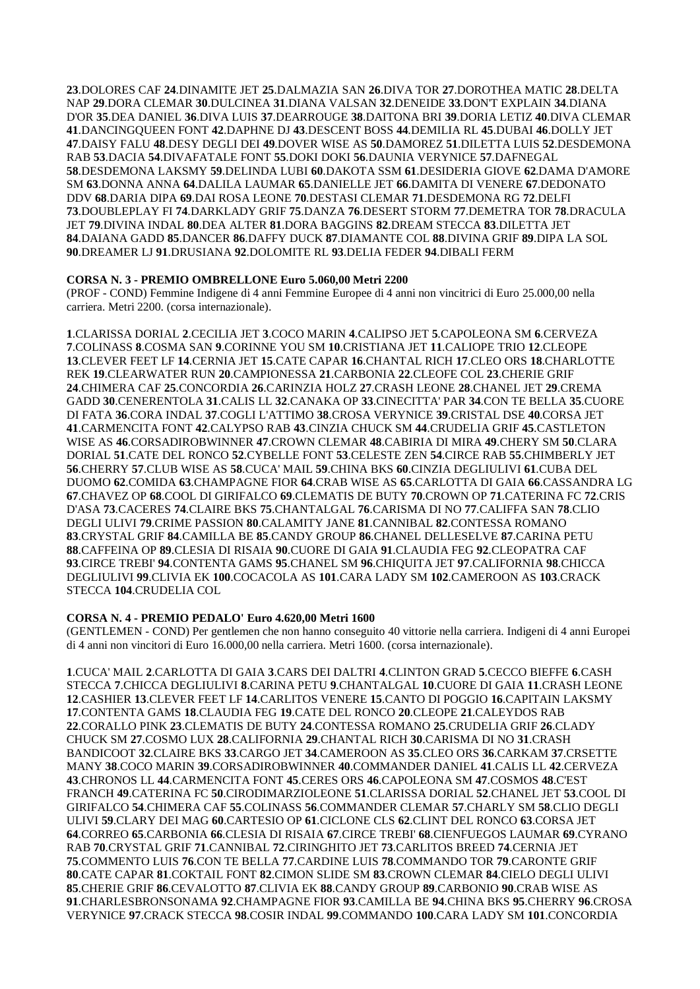**23**.DOLORES CAF **24**.DINAMITE JET **25**.DALMAZIA SAN **26**.DIVA TOR **27**.DOROTHEA MATIC **28**.DELTA NAP **29**.DORA CLEMAR **30**.DULCINEA **31**.DIANA VALSAN **32**.DENEIDE **33**.DON'T EXPLAIN **34**.DIANA D'OR **35**.DEA DANIEL **36**.DIVA LUIS **37**.DEARROUGE **38**.DAITONA BRI **39**.DORIA LETIZ **40**.DIVA CLEMAR **41**.DANCINGQUEEN FONT **42**.DAPHNE DJ **43**.DESCENT BOSS **44**.DEMILIA RL **45**.DUBAI **46**.DOLLY JET **47**.DAISY FALU **48**.DESY DEGLI DEI **49**.DOVER WISE AS **50**.DAMOREZ **51**.DILETTA LUIS **52**.DESDEMONA RAB **53**.DACIA **54**.DIVAFATALE FONT **55**.DOKI DOKI **56**.DAUNIA VERYNICE **57**.DAFNEGAL **58**.DESDEMONA LAKSMY **59**.DELINDA LUBI **60**.DAKOTA SSM **61**.DESIDERIA GIOVE **62**.DAMA D'AMORE SM **63**.DONNA ANNA **64**.DALILA LAUMAR **65**.DANIELLE JET **66**.DAMITA DI VENERE **67**.DEDONATO DDV **68**.DARIA DIPA **69**.DAI ROSA LEONE **70**.DESTASI CLEMAR **71**.DESDEMONA RG **72**.DELFI **73**.DOUBLEPLAY FI **74**.DARKLADY GRIF **75**.DANZA **76**.DESERT STORM **77**.DEMETRA TOR **78**.DRACULA JET **79**.DIVINA INDAL **80**.DEA ALTER **81**.DORA BAGGINS **82**.DREAM STECCA **83**.DILETTA JET **84**.DAIANA GADD **85**.DANCER **86**.DAFFY DUCK **87**.DIAMANTE COL **88**.DIVINA GRIF **89**.DIPA LA SOL **90**.DREAMER LJ **91**.DRUSIANA **92**.DOLOMITE RL **93**.DELIA FEDER **94**.DIBALI FERM

### **CORSA N. 3 - PREMIO OMBRELLONE Euro 5.060,00 Metri 2200**

(PROF - COND) Femmine Indigene di 4 anni Femmine Europee di 4 anni non vincitrici di Euro 25.000,00 nella carriera. Metri 2200. (corsa internazionale).

**1**.CLARISSA DORIAL **2**.CECILIA JET **3**.COCO MARIN **4**.CALIPSO JET **5**.CAPOLEONA SM **6**.CERVEZA **7**.COLINASS **8**.COSMA SAN **9**.CORINNE YOU SM **10**.CRISTIANA JET **11**.CALIOPE TRIO **12**.CLEOPE **13**.CLEVER FEET LF **14**.CERNIA JET **15**.CATE CAPAR **16**.CHANTAL RICH **17**.CLEO ORS **18**.CHARLOTTE REK **19**.CLEARWATER RUN **20**.CAMPIONESSA **21**.CARBONIA **22**.CLEOFE COL **23**.CHERIE GRIF **24**.CHIMERA CAF **25**.CONCORDIA **26**.CARINZIA HOLZ **27**.CRASH LEONE **28**.CHANEL JET **29**.CREMA GADD **30**.CENERENTOLA **31**.CALIS LL **32**.CANAKA OP **33**.CINECITTA' PAR **34**.CON TE BELLA **35**.CUORE DI FATA **36**.CORA INDAL **37**.COGLI L'ATTIMO **38**.CROSA VERYNICE **39**.CRISTAL DSE **40**.CORSA JET **41**.CARMENCITA FONT **42**.CALYPSO RAB **43**.CINZIA CHUCK SM **44**.CRUDELIA GRIF **45**.CASTLETON WISE AS **46**.CORSADIROBWINNER **47**.CROWN CLEMAR **48**.CABIRIA DI MIRA **49**.CHERY SM **50**.CLARA DORIAL **51**.CATE DEL RONCO **52**.CYBELLE FONT **53**.CELESTE ZEN **54**.CIRCE RAB **55**.CHIMBERLY JET **56**.CHERRY **57**.CLUB WISE AS **58**.CUCA' MAIL **59**.CHINA BKS **60**.CINZIA DEGLIULIVI **61**.CUBA DEL DUOMO **62**.COMIDA **63**.CHAMPAGNE FIOR **64**.CRAB WISE AS **65**.CARLOTTA DI GAIA **66**.CASSANDRA LG **67**.CHAVEZ OP **68**.COOL DI GIRIFALCO **69**.CLEMATIS DE BUTY **70**.CROWN OP **71**.CATERINA FC **72**.CRIS D'ASA **73**.CACERES **74**.CLAIRE BKS **75**.CHANTALGAL **76**.CARISMA DI NO **77**.CALIFFA SAN **78**.CLIO DEGLI ULIVI **79**.CRIME PASSION **80**.CALAMITY JANE **81**.CANNIBAL **82**.CONTESSA ROMANO **83**.CRYSTAL GRIF **84**.CAMILLA BE **85**.CANDY GROUP **86**.CHANEL DELLESELVE **87**.CARINA PETU **88**.CAFFEINA OP **89**.CLESIA DI RISAIA **90**.CUORE DI GAIA **91**.CLAUDIA FEG **92**.CLEOPATRA CAF **93**.CIRCE TREBI' **94**.CONTENTA GAMS **95**.CHANEL SM **96**.CHIQUITA JET **97**.CALIFORNIA **98**.CHICCA DEGLIULIVI **99**.CLIVIA EK **100**.COCACOLA AS **101**.CARA LADY SM **102**.CAMEROON AS **103**.CRACK STECCA **104**.CRUDELIA COL

### **CORSA N. 4 - PREMIO PEDALO' Euro 4.620,00 Metri 1600**

(GENTLEMEN - COND) Per gentlemen che non hanno conseguito 40 vittorie nella carriera. Indigeni di 4 anni Europei di 4 anni non vincitori di Euro 16.000,00 nella carriera. Metri 1600. (corsa internazionale).

**1**.CUCA' MAIL **2**.CARLOTTA DI GAIA **3**.CARS DEI DALTRI **4**.CLINTON GRAD **5**.CECCO BIEFFE **6**.CASH STECCA **7**.CHICCA DEGLIULIVI **8**.CARINA PETU **9**.CHANTALGAL **10**.CUORE DI GAIA **11**.CRASH LEONE **12**.CASHIER **13**.CLEVER FEET LF **14**.CARLITOS VENERE **15**.CANTO DI POGGIO **16**.CAPITAIN LAKSMY **17**.CONTENTA GAMS **18**.CLAUDIA FEG **19**.CATE DEL RONCO **20**.CLEOPE **21**.CALEYDOS RAB **22**.CORALLO PINK **23**.CLEMATIS DE BUTY **24**.CONTESSA ROMANO **25**.CRUDELIA GRIF **26**.CLADY CHUCK SM **27**.COSMO LUX **28**.CALIFORNIA **29**.CHANTAL RICH **30**.CARISMA DI NO **31**.CRASH BANDICOOT **32**.CLAIRE BKS **33**.CARGO JET **34**.CAMEROON AS **35**.CLEO ORS **36**.CARKAM **37**.CRSETTE MANY **38**.COCO MARIN **39**.CORSADIROBWINNER **40**.COMMANDER DANIEL **41**.CALIS LL **42**.CERVEZA **43**.CHRONOS LL **44**.CARMENCITA FONT **45**.CERES ORS **46**.CAPOLEONA SM **47**.COSMOS **48**.C'EST FRANCH **49**.CATERINA FC **50**.CIRODIMARZIOLEONE **51**.CLARISSA DORIAL **52**.CHANEL JET **53**.COOL DI GIRIFALCO **54**.CHIMERA CAF **55**.COLINASS **56**.COMMANDER CLEMAR **57**.CHARLY SM **58**.CLIO DEGLI ULIVI **59**.CLARY DEI MAG **60**.CARTESIO OP **61**.CICLONE CLS **62**.CLINT DEL RONCO **63**.CORSA JET **64**.CORREO **65**.CARBONIA **66**.CLESIA DI RISAIA **67**.CIRCE TREBI' **68**.CIENFUEGOS LAUMAR **69**.CYRANO RAB **70**.CRYSTAL GRIF **71**.CANNIBAL **72**.CIRINGHITO JET **73**.CARLITOS BREED **74**.CERNIA JET **75**.COMMENTO LUIS **76**.CON TE BELLA **77**.CARDINE LUIS **78**.COMMANDO TOR **79**.CARONTE GRIF **80**.CATE CAPAR **81**.COKTAIL FONT **82**.CIMON SLIDE SM **83**.CROWN CLEMAR **84**.CIELO DEGLI ULIVI **85**.CHERIE GRIF **86**.CEVALOTTO **87**.CLIVIA EK **88**.CANDY GROUP **89**.CARBONIO **90**.CRAB WISE AS **91**.CHARLESBRONSONAMA **92**.CHAMPAGNE FIOR **93**.CAMILLA BE **94**.CHINA BKS **95**.CHERRY **96**.CROSA VERYNICE **97**.CRACK STECCA **98**.COSIR INDAL **99**.COMMANDO **100**.CARA LADY SM **101**.CONCORDIA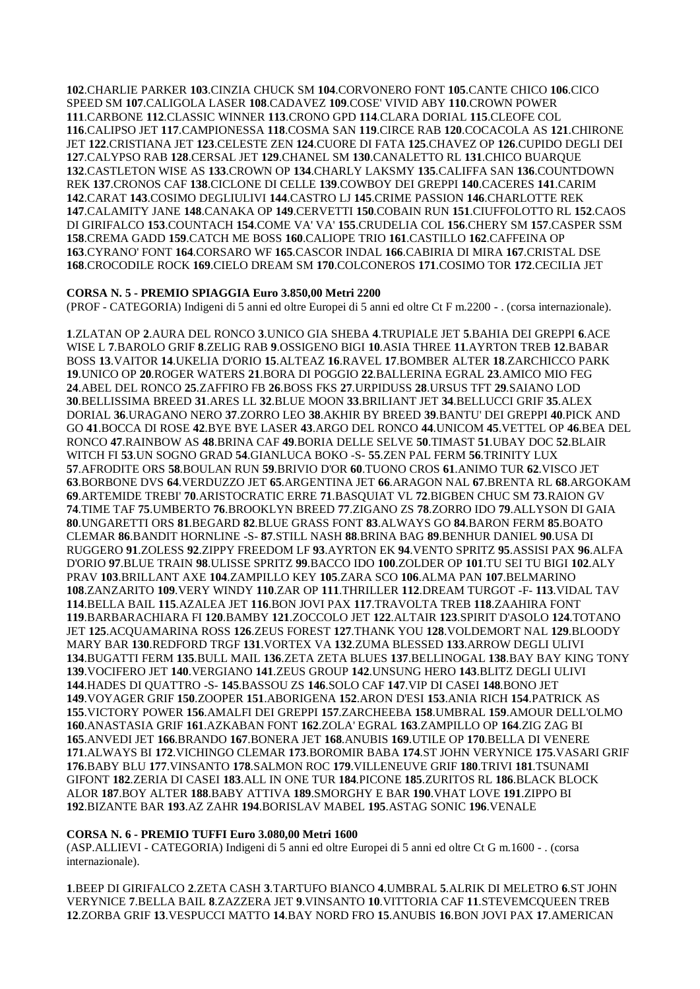.CHARLIE PARKER **103**.CINZIA CHUCK SM **104**.CORVONERO FONT **105**.CANTE CHICO **106**.CICO SPEED SM **107**.CALIGOLA LASER **108**.CADAVEZ **109**.COSE' VIVID ABY **110**.CROWN POWER .CARBONE **112**.CLASSIC WINNER **113**.CRONO GPD **114**.CLARA DORIAL **115**.CLEOFE COL .CALIPSO JET **117**.CAMPIONESSA **118**.COSMA SAN **119**.CIRCE RAB **120**.COCACOLA AS **121**.CHIRONE JET **122**.CRISTIANA JET **123**.CELESTE ZEN **124**.CUORE DI FATA **125**.CHAVEZ OP **126**.CUPIDO DEGLI DEI .CALYPSO RAB **128**.CERSAL JET **129**.CHANEL SM **130**.CANALETTO RL **131**.CHICO BUARQUE .CASTLETON WISE AS **133**.CROWN OP **134**.CHARLY LAKSMY **135**.CALIFFA SAN **136**.COUNTDOWN REK **137**.CRONOS CAF **138**.CICLONE DI CELLE **139**.COWBOY DEI GREPPI **140**.CACERES **141**.CARIM .CARAT **143**.COSIMO DEGLIULIVI **144**.CASTRO LJ **145**.CRIME PASSION **146**.CHARLOTTE REK .CALAMITY JANE **148**.CANAKA OP **149**.CERVETTI **150**.COBAIN RUN **151**.CIUFFOLOTTO RL **152**.CAOS DI GIRIFALCO **153**.COUNTACH **154**.COME VA' VA' **155**.CRUDELIA COL **156**.CHERY SM **157**.CASPER SSM .CREMA GADD **159**.CATCH ME BOSS **160**.CALIOPE TRIO **161**.CASTILLO **162**.CAFFEINA OP .CYRANO' FONT **164**.CORSARO WF **165**.CASCOR INDAL **166**.CABIRIA DI MIRA **167**.CRISTAL DSE .CROCODILE ROCK **169**.CIELO DREAM SM **170**.COLCONEROS **171**.COSIMO TOR **172**.CECILIA JET

## **CORSA N. 5 - PREMIO SPIAGGIA Euro 3.850,00 Metri 2200**

(PROF - CATEGORIA) Indigeni di 5 anni ed oltre Europei di 5 anni ed oltre Ct F m.2200 - . (corsa internazionale).

.ZLATAN OP **2**.AURA DEL RONCO **3**.UNICO GIA SHEBA **4**.TRUPIALE JET **5**.BAHIA DEI GREPPI **6**.ACE WISE L **7**.BAROLO GRIF **8**.ZELIG RAB **9**.OSSIGENO BIGI **10**.ASIA THREE **11**.AYRTON TREB **12**.BABAR BOSS **13**.VAITOR **14**.UKELIA D'ORIO **15**.ALTEAZ **16**.RAVEL **17**.BOMBER ALTER **18**.ZARCHICCO PARK .UNICO OP **20**.ROGER WATERS **21**.BORA DI POGGIO **22**.BALLERINA EGRAL **23**.AMICO MIO FEG .ABEL DEL RONCO **25**.ZAFFIRO FB **26**.BOSS FKS **27**.URPIDUSS **28**.URSUS TFT **29**.SAIANO LOD .BELLISSIMA BREED **31**.ARES LL **32**.BLUE MOON **33**.BRILIANT JET **34**.BELLUCCI GRIF **35**.ALEX DORIAL **36**.URAGANO NERO **37**.ZORRO LEO **38**.AKHIR BY BREED **39**.BANTU' DEI GREPPI **40**.PICK AND GO **41**.BOCCA DI ROSE **42**.BYE BYE LASER **43**.ARGO DEL RONCO **44**.UNICOM **45**.VETTEL OP **46**.BEA DEL RONCO **47**.RAINBOW AS **48**.BRINA CAF **49**.BORIA DELLE SELVE **50**.TIMAST **51**.UBAY DOC **52**.BLAIR WITCH FI **53**.UN SOGNO GRAD **54**.GIANLUCA BOKO -S- **55**.ZEN PAL FERM **56**.TRINITY LUX .AFRODITE ORS **58**.BOULAN RUN **59**.BRIVIO D'OR **60**.TUONO CROS **61**.ANIMO TUR **62**.VISCO JET .BORBONE DVS **64**.VERDUZZO JET **65**.ARGENTINA JET **66**.ARAGON NAL **67**.BRENTA RL **68**.ARGOKAM .ARTEMIDE TREBI' **70**.ARISTOCRATIC ERRE **71**.BASQUIAT VL **72**.BIGBEN CHUC SM **73**.RAION GV .TIME TAF **75**.UMBERTO **76**.BROOKLYN BREED **77**.ZIGANO ZS **78**.ZORRO IDO **79**.ALLYSON DI GAIA .UNGARETTI ORS **81**.BEGARD **82**.BLUE GRASS FONT **83**.ALWAYS GO **84**.BARON FERM **85**.BOATO CLEMAR **86**.BANDIT HORNLINE -S- **87**.STILL NASH **88**.BRINA BAG **89**.BENHUR DANIEL **90**.USA DI RUGGERO **91**.ZOLESS **92**.ZIPPY FREEDOM LF **93**.AYRTON EK **94**.VENTO SPRITZ **95**.ASSISI PAX **96**.ALFA D'ORIO **97**.BLUE TRAIN **98**.ULISSE SPRITZ **99**.BACCO IDO **100**.ZOLDER OP **101**.TU SEI TU BIGI **102**.ALY PRAV **103**.BRILLANT AXE **104**.ZAMPILLO KEY **105**.ZARA SCO **106**.ALMA PAN **107**.BELMARINO .ZANZARITO **109**.VERY WINDY **110**.ZAR OP **111**.THRILLER **112**.DREAM TURGOT -F- **113**.VIDAL TAV .BELLA BAIL **115**.AZALEA JET **116**.BON JOVI PAX **117**.TRAVOLTA TREB **118**.ZAAHIRA FONT .BARBARACHIARA FI **120**.BAMBY **121**.ZOCCOLO JET **122**.ALTAIR **123**.SPIRIT D'ASOLO **124**.TOTANO JET **125**.ACQUAMARINA ROSS **126**.ZEUS FOREST **127**.THANK YOU **128**.VOLDEMORT NAL **129**.BLOODY MARY BAR **130**.REDFORD TRGF **131**.VORTEX VA **132**.ZUMA BLESSED **133**.ARROW DEGLI ULIVI .BUGATTI FERM **135**.BULL MAIL **136**.ZETA ZETA BLUES **137**.BELLINOGAL **138**.BAY BAY KING TONY .VOCIFERO JET **140**.VERGIANO **141**.ZEUS GROUP **142**.UNSUNG HERO **143**.BLITZ DEGLI ULIVI .HADES DI QUATTRO -S- **145**.BASSOU ZS **146**.SOLO CAF **147**.VIP DI CASEI **148**.BONO JET .VOYAGER GRIF **150**.ZOOPER **151**.ABORIGENA **152**.ARON D'ESI **153**.ANIA RICH **154**.PATRICK AS .VICTORY POWER **156**.AMALFI DEI GREPPI **157**.ZARCHEEBA **158**.UMBRAL **159**.AMOUR DELL'OLMO .ANASTASIA GRIF **161**.AZKABAN FONT **162**.ZOLA' EGRAL **163**.ZAMPILLO OP **164**.ZIG ZAG BI .ANVEDI JET **166**.BRANDO **167**.BONERA JET **168**.ANUBIS **169**.UTILE OP **170**.BELLA DI VENERE .ALWAYS BI **172**.VICHINGO CLEMAR **173**.BOROMIR BABA **174**.ST JOHN VERYNICE **175**.VASARI GRIF .BABY BLU **177**.VINSANTO **178**.SALMON ROC **179**.VILLENEUVE GRIF **180**.TRIVI **181**.TSUNAMI GIFONT **182**.ZERIA DI CASEI **183**.ALL IN ONE TUR **184**.PICONE **185**.ZURITOS RL **186**.BLACK BLOCK ALOR **187**.BOY ALTER **188**.BABY ATTIVA **189**.SMORGHY E BAR **190**.VHAT LOVE **191**.ZIPPO BI .BIZANTE BAR **193**.AZ ZAHR **194**.BORISLAV MABEL **195**.ASTAG SONIC **196**.VENALE

### **CORSA N. 6 - PREMIO TUFFI Euro 3.080,00 Metri 1600**

(ASP.ALLIEVI - CATEGORIA) Indigeni di 5 anni ed oltre Europei di 5 anni ed oltre Ct G m.1600 - . (corsa internazionale).

**1**.BEEP DI GIRIFALCO **2**.ZETA CASH **3**.TARTUFO BIANCO **4**.UMBRAL **5**.ALRIK DI MELETRO **6**.ST JOHN VERYNICE **7**.BELLA BAIL **8**.ZAZZERA JET **9**.VINSANTO **10**.VITTORIA CAF **11**.STEVEMCQUEEN TREB **12**.ZORBA GRIF **13**.VESPUCCI MATTO **14**.BAY NORD FRO **15**.ANUBIS **16**.BON JOVI PAX **17**.AMERICAN